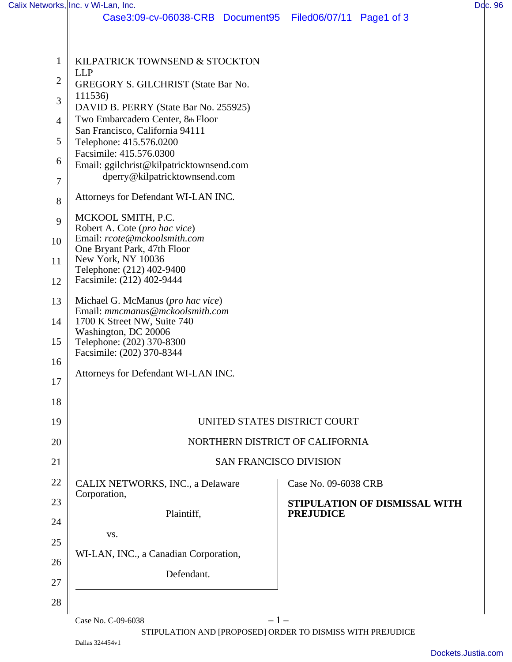| Case3:09-cv-06038-CRB Document95 Filed06/07/11 Page1 of 3<br>KILPATRICK TOWNSEND & STOCKTON<br>1<br><b>LLP</b><br>$\overline{2}$<br>GREGORY S. GILCHRIST (State Bar No.<br>111536)<br>3<br>DAVID B. PERRY (State Bar No. 255925)<br>Two Embarcadero Center, 8th Floor<br>$\overline{4}$<br>San Francisco, California 94111<br>5<br>Telephone: 415.576.0200<br>Facsimile: 415.576.0300<br>6<br>Email: ggilchrist@kilpatricktownsend.com<br>dperry@kilpatricktownsend.com<br>$\tau$<br>Attorneys for Defendant WI-LAN INC.<br>8<br>MCKOOL SMITH, P.C.<br>9<br>Robert A. Cote (pro hac vice)<br>Email: rcote@mckoolsmith.com<br>10<br>One Bryant Park, 47th Floor<br>New York, NY 10036<br>11<br>Telephone: (212) 402-9400<br>Facsimile: (212) 402-9444<br>12<br>Michael G. McManus (pro hac vice)<br>13<br>Email: mmcmanus@mckoolsmith.com<br>14<br>1700 K Street NW, Suite 740<br>Washington, DC 20006<br>15<br>Telephone: (202) 370-8300<br>Facsimile: (202) 370-8344<br>16<br>Attorneys for Defendant WI-LAN INC.<br>17<br>18<br>UNITED STATES DISTRICT COURT<br>19<br>NORTHERN DISTRICT OF CALIFORNIA<br>20<br>21<br><b>SAN FRANCISCO DIVISION</b><br>22<br>CALIX NETWORKS, INC., a Delaware<br>Case No. 09-6038 CRB<br>Corporation,<br>23<br>STIPULATION OF DISMISSAL WITH<br>Plaintiff,<br><b>PREJUDICE</b><br>24<br>VS.<br>25<br>WI-LAN, INC., a Canadian Corporation,<br>26<br>Defendant.<br>27 |        | Calix Networks, Inc. v Wi-Lan, Inc. |  |  |  | Doc. 96 |  |
|-------------------------------------------------------------------------------------------------------------------------------------------------------------------------------------------------------------------------------------------------------------------------------------------------------------------------------------------------------------------------------------------------------------------------------------------------------------------------------------------------------------------------------------------------------------------------------------------------------------------------------------------------------------------------------------------------------------------------------------------------------------------------------------------------------------------------------------------------------------------------------------------------------------------------------------------------------------------------------------------------------------------------------------------------------------------------------------------------------------------------------------------------------------------------------------------------------------------------------------------------------------------------------------------------------------------------------------------------------------------------------------------------------|--------|-------------------------------------|--|--|--|---------|--|
|                                                                                                                                                                                                                                                                                                                                                                                                                                                                                                                                                                                                                                                                                                                                                                                                                                                                                                                                                                                                                                                                                                                                                                                                                                                                                                                                                                                                       |        |                                     |  |  |  |         |  |
|                                                                                                                                                                                                                                                                                                                                                                                                                                                                                                                                                                                                                                                                                                                                                                                                                                                                                                                                                                                                                                                                                                                                                                                                                                                                                                                                                                                                       |        |                                     |  |  |  |         |  |
|                                                                                                                                                                                                                                                                                                                                                                                                                                                                                                                                                                                                                                                                                                                                                                                                                                                                                                                                                                                                                                                                                                                                                                                                                                                                                                                                                                                                       |        |                                     |  |  |  |         |  |
|                                                                                                                                                                                                                                                                                                                                                                                                                                                                                                                                                                                                                                                                                                                                                                                                                                                                                                                                                                                                                                                                                                                                                                                                                                                                                                                                                                                                       |        |                                     |  |  |  |         |  |
|                                                                                                                                                                                                                                                                                                                                                                                                                                                                                                                                                                                                                                                                                                                                                                                                                                                                                                                                                                                                                                                                                                                                                                                                                                                                                                                                                                                                       |        |                                     |  |  |  |         |  |
|                                                                                                                                                                                                                                                                                                                                                                                                                                                                                                                                                                                                                                                                                                                                                                                                                                                                                                                                                                                                                                                                                                                                                                                                                                                                                                                                                                                                       |        |                                     |  |  |  |         |  |
|                                                                                                                                                                                                                                                                                                                                                                                                                                                                                                                                                                                                                                                                                                                                                                                                                                                                                                                                                                                                                                                                                                                                                                                                                                                                                                                                                                                                       |        |                                     |  |  |  |         |  |
|                                                                                                                                                                                                                                                                                                                                                                                                                                                                                                                                                                                                                                                                                                                                                                                                                                                                                                                                                                                                                                                                                                                                                                                                                                                                                                                                                                                                       |        |                                     |  |  |  |         |  |
|                                                                                                                                                                                                                                                                                                                                                                                                                                                                                                                                                                                                                                                                                                                                                                                                                                                                                                                                                                                                                                                                                                                                                                                                                                                                                                                                                                                                       |        |                                     |  |  |  |         |  |
|                                                                                                                                                                                                                                                                                                                                                                                                                                                                                                                                                                                                                                                                                                                                                                                                                                                                                                                                                                                                                                                                                                                                                                                                                                                                                                                                                                                                       |        |                                     |  |  |  |         |  |
|                                                                                                                                                                                                                                                                                                                                                                                                                                                                                                                                                                                                                                                                                                                                                                                                                                                                                                                                                                                                                                                                                                                                                                                                                                                                                                                                                                                                       |        |                                     |  |  |  |         |  |
|                                                                                                                                                                                                                                                                                                                                                                                                                                                                                                                                                                                                                                                                                                                                                                                                                                                                                                                                                                                                                                                                                                                                                                                                                                                                                                                                                                                                       |        |                                     |  |  |  |         |  |
|                                                                                                                                                                                                                                                                                                                                                                                                                                                                                                                                                                                                                                                                                                                                                                                                                                                                                                                                                                                                                                                                                                                                                                                                                                                                                                                                                                                                       |        |                                     |  |  |  |         |  |
|                                                                                                                                                                                                                                                                                                                                                                                                                                                                                                                                                                                                                                                                                                                                                                                                                                                                                                                                                                                                                                                                                                                                                                                                                                                                                                                                                                                                       |        |                                     |  |  |  |         |  |
|                                                                                                                                                                                                                                                                                                                                                                                                                                                                                                                                                                                                                                                                                                                                                                                                                                                                                                                                                                                                                                                                                                                                                                                                                                                                                                                                                                                                       |        |                                     |  |  |  |         |  |
|                                                                                                                                                                                                                                                                                                                                                                                                                                                                                                                                                                                                                                                                                                                                                                                                                                                                                                                                                                                                                                                                                                                                                                                                                                                                                                                                                                                                       |        |                                     |  |  |  |         |  |
|                                                                                                                                                                                                                                                                                                                                                                                                                                                                                                                                                                                                                                                                                                                                                                                                                                                                                                                                                                                                                                                                                                                                                                                                                                                                                                                                                                                                       |        |                                     |  |  |  |         |  |
|                                                                                                                                                                                                                                                                                                                                                                                                                                                                                                                                                                                                                                                                                                                                                                                                                                                                                                                                                                                                                                                                                                                                                                                                                                                                                                                                                                                                       |        |                                     |  |  |  |         |  |
|                                                                                                                                                                                                                                                                                                                                                                                                                                                                                                                                                                                                                                                                                                                                                                                                                                                                                                                                                                                                                                                                                                                                                                                                                                                                                                                                                                                                       |        |                                     |  |  |  |         |  |
|                                                                                                                                                                                                                                                                                                                                                                                                                                                                                                                                                                                                                                                                                                                                                                                                                                                                                                                                                                                                                                                                                                                                                                                                                                                                                                                                                                                                       |        |                                     |  |  |  |         |  |
|                                                                                                                                                                                                                                                                                                                                                                                                                                                                                                                                                                                                                                                                                                                                                                                                                                                                                                                                                                                                                                                                                                                                                                                                                                                                                                                                                                                                       |        |                                     |  |  |  |         |  |
|                                                                                                                                                                                                                                                                                                                                                                                                                                                                                                                                                                                                                                                                                                                                                                                                                                                                                                                                                                                                                                                                                                                                                                                                                                                                                                                                                                                                       |        |                                     |  |  |  |         |  |
|                                                                                                                                                                                                                                                                                                                                                                                                                                                                                                                                                                                                                                                                                                                                                                                                                                                                                                                                                                                                                                                                                                                                                                                                                                                                                                                                                                                                       |        |                                     |  |  |  |         |  |
|                                                                                                                                                                                                                                                                                                                                                                                                                                                                                                                                                                                                                                                                                                                                                                                                                                                                                                                                                                                                                                                                                                                                                                                                                                                                                                                                                                                                       |        |                                     |  |  |  |         |  |
|                                                                                                                                                                                                                                                                                                                                                                                                                                                                                                                                                                                                                                                                                                                                                                                                                                                                                                                                                                                                                                                                                                                                                                                                                                                                                                                                                                                                       |        |                                     |  |  |  |         |  |
|                                                                                                                                                                                                                                                                                                                                                                                                                                                                                                                                                                                                                                                                                                                                                                                                                                                                                                                                                                                                                                                                                                                                                                                                                                                                                                                                                                                                       |        |                                     |  |  |  |         |  |
|                                                                                                                                                                                                                                                                                                                                                                                                                                                                                                                                                                                                                                                                                                                                                                                                                                                                                                                                                                                                                                                                                                                                                                                                                                                                                                                                                                                                       |        |                                     |  |  |  |         |  |
|                                                                                                                                                                                                                                                                                                                                                                                                                                                                                                                                                                                                                                                                                                                                                                                                                                                                                                                                                                                                                                                                                                                                                                                                                                                                                                                                                                                                       |        |                                     |  |  |  |         |  |
|                                                                                                                                                                                                                                                                                                                                                                                                                                                                                                                                                                                                                                                                                                                                                                                                                                                                                                                                                                                                                                                                                                                                                                                                                                                                                                                                                                                                       |        |                                     |  |  |  |         |  |
|                                                                                                                                                                                                                                                                                                                                                                                                                                                                                                                                                                                                                                                                                                                                                                                                                                                                                                                                                                                                                                                                                                                                                                                                                                                                                                                                                                                                       |        |                                     |  |  |  |         |  |
|                                                                                                                                                                                                                                                                                                                                                                                                                                                                                                                                                                                                                                                                                                                                                                                                                                                                                                                                                                                                                                                                                                                                                                                                                                                                                                                                                                                                       |        |                                     |  |  |  |         |  |
|                                                                                                                                                                                                                                                                                                                                                                                                                                                                                                                                                                                                                                                                                                                                                                                                                                                                                                                                                                                                                                                                                                                                                                                                                                                                                                                                                                                                       | $28\,$ |                                     |  |  |  |         |  |
| $-1-$<br>Case No. C-09-6038                                                                                                                                                                                                                                                                                                                                                                                                                                                                                                                                                                                                                                                                                                                                                                                                                                                                                                                                                                                                                                                                                                                                                                                                                                                                                                                                                                           |        |                                     |  |  |  |         |  |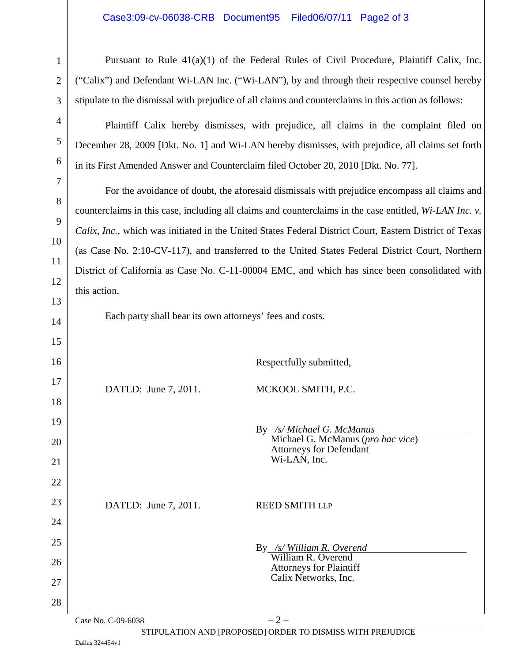## Case3:09-cv-06038-CRB Document95 Filed06/07/11 Page2 of 3

| $\mathbf{1}$   | Pursuant to Rule $41(a)(1)$ of the Federal Rules of Civil Procedure, Plaintiff Calix, Inc.              |  |  |  |  |
|----------------|---------------------------------------------------------------------------------------------------------|--|--|--|--|
| $\mathbf{2}$   | ("Calix") and Defendant Wi-LAN Inc. ("Wi-LAN"), by and through their respective counsel hereby          |  |  |  |  |
| 3              | stipulate to the dismissal with prejudice of all claims and counterclaims in this action as follows:    |  |  |  |  |
| $\overline{4}$ | Plaintiff Calix hereby dismisses, with prejudice, all claims in the complaint filed on                  |  |  |  |  |
| $\mathfrak{S}$ | December 28, 2009 [Dkt. No. 1] and Wi-LAN hereby dismisses, with prejudice, all claims set forth        |  |  |  |  |
| 6              | in its First Amended Answer and Counterclaim filed October 20, 2010 [Dkt. No. 77].                      |  |  |  |  |
| $\tau$         | For the avoidance of doubt, the aforesaid dismissals with prejudice encompass all claims and            |  |  |  |  |
| 8              | counterclaims in this case, including all claims and counterclaims in the case entitled, Wi-LAN Inc. v. |  |  |  |  |
| 9              | Calix, Inc., which was initiated in the United States Federal District Court, Eastern District of Texas |  |  |  |  |
| 10             | (as Case No. 2:10-CV-117), and transferred to the United States Federal District Court, Northern        |  |  |  |  |
| <sup>11</sup>  | District of California as Case No. C-11-00004 EMC, and which has since been consolidated with           |  |  |  |  |
| 12             | this action.                                                                                            |  |  |  |  |
| 13             |                                                                                                         |  |  |  |  |
| 14             | Each party shall bear its own attorneys' fees and costs.                                                |  |  |  |  |
| 15             |                                                                                                         |  |  |  |  |
| 16             | Respectfully submitted,                                                                                 |  |  |  |  |
| 17             | MCKOOL SMITH, P.C.<br>DATED: June 7, 2011.                                                              |  |  |  |  |
| 18             |                                                                                                         |  |  |  |  |
| 19             | By /s/ Michael G. McManus                                                                               |  |  |  |  |
| 20             | Michael G. McManus (pro hac vice)<br><b>Attorneys for Defendant</b>                                     |  |  |  |  |
| 21             | Wi-LAN, Inc.                                                                                            |  |  |  |  |
| 22             |                                                                                                         |  |  |  |  |
| 23             | DATED: June 7, 2011.<br><b>REED SMITH LLP</b>                                                           |  |  |  |  |
| 24             |                                                                                                         |  |  |  |  |
| 25             | By /s/ William R. Overend                                                                               |  |  |  |  |
| 26             | William R. Overend<br><b>Attorneys for Plaintiff</b>                                                    |  |  |  |  |
| 27             | Calix Networks, Inc.                                                                                    |  |  |  |  |
| 28             |                                                                                                         |  |  |  |  |

STIPULATION AND [PROPOSED] ORDER TO DISMISS WITH PREJUDICE